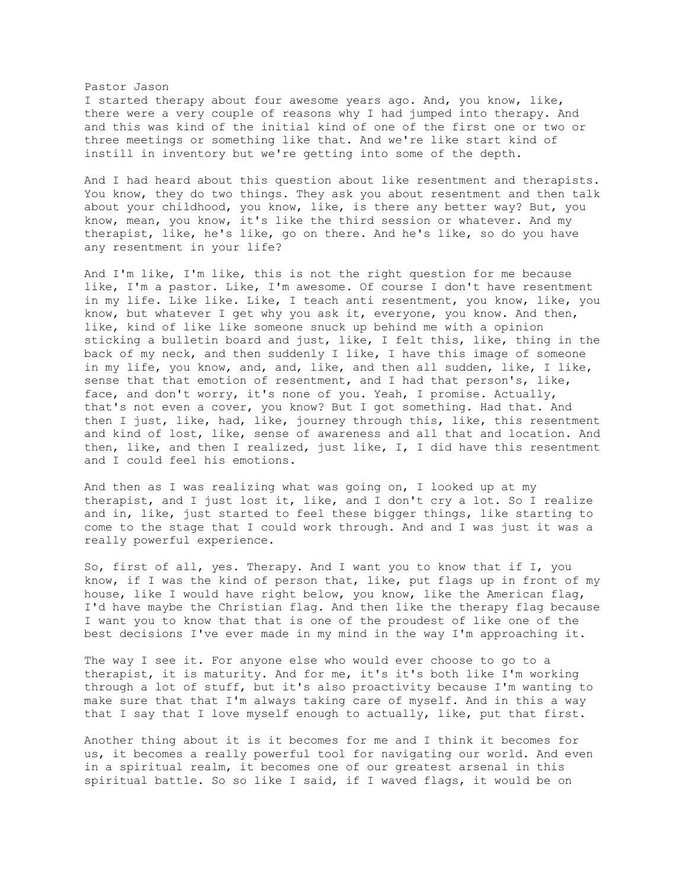## Pastor Jason

I started therapy about four awesome years ago. And, you know, like, there were a very couple of reasons why I had jumped into therapy. And and this was kind of the initial kind of one of the first one or two or three meetings or something like that. And we're like start kind of instill in inventory but we're getting into some of the depth.

And I had heard about this question about like resentment and therapists. You know, they do two things. They ask you about resentment and then talk about your childhood, you know, like, is there any better way? But, you know, mean, you know, it's like the third session or whatever. And my therapist, like, he's like, go on there. And he's like, so do you have any resentment in your life?

And I'm like, I'm like, this is not the right question for me because like, I'm a pastor. Like, I'm awesome. Of course I don't have resentment in my life. Like like. Like, I teach anti resentment, you know, like, you know, but whatever I get why you ask it, everyone, you know. And then, like, kind of like like someone snuck up behind me with a opinion sticking a bulletin board and just, like, I felt this, like, thing in the back of my neck, and then suddenly I like, I have this image of someone in my life, you know, and, and, like, and then all sudden, like, I like, sense that that emotion of resentment, and I had that person's, like, face, and don't worry, it's none of you. Yeah, I promise. Actually, that's not even a cover, you know? But I got something. Had that. And then I just, like, had, like, journey through this, like, this resentment and kind of lost, like, sense of awareness and all that and location. And then, like, and then I realized, just like, I, I did have this resentment and I could feel his emotions.

And then as I was realizing what was going on, I looked up at my therapist, and I just lost it, like, and I don't cry a lot. So I realize and in, like, just started to feel these bigger things, like starting to come to the stage that I could work through. And and I was just it was a really powerful experience.

So, first of all, yes. Therapy. And I want you to know that if I, you know, if I was the kind of person that, like, put flags up in front of my house, like I would have right below, you know, like the American flag, I'd have maybe the Christian flag. And then like the therapy flag because I want you to know that that is one of the proudest of like one of the best decisions I've ever made in my mind in the way I'm approaching it.

The way I see it. For anyone else who would ever choose to go to a therapist, it is maturity. And for me, it's it's both like I'm working through a lot of stuff, but it's also proactivity because I'm wanting to make sure that that I'm always taking care of myself. And in this a way that I say that I love myself enough to actually, like, put that first.

Another thing about it is it becomes for me and I think it becomes for us, it becomes a really powerful tool for navigating our world. And even in a spiritual realm, it becomes one of our greatest arsenal in this spiritual battle. So so like I said, if I waved flags, it would be on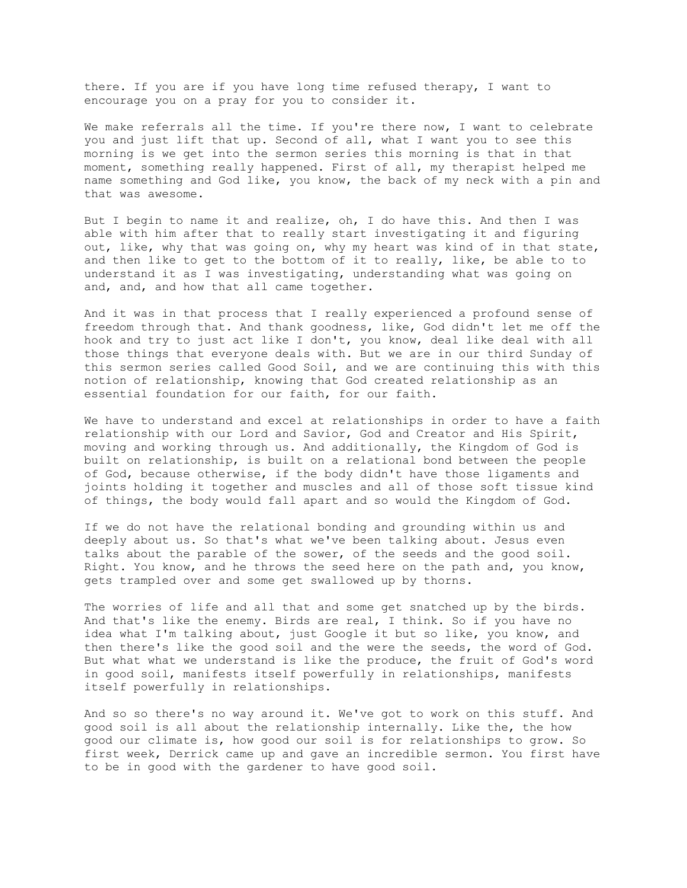there. If you are if you have long time refused therapy, I want to encourage you on a pray for you to consider it.

We make referrals all the time. If you're there now, I want to celebrate you and just lift that up. Second of all, what I want you to see this morning is we get into the sermon series this morning is that in that moment, something really happened. First of all, my therapist helped me name something and God like, you know, the back of my neck with a pin and that was awesome.

But I begin to name it and realize, oh, I do have this. And then I was able with him after that to really start investigating it and figuring out, like, why that was going on, why my heart was kind of in that state, and then like to get to the bottom of it to really, like, be able to to understand it as I was investigating, understanding what was going on and, and, and how that all came together.

And it was in that process that I really experienced a profound sense of freedom through that. And thank goodness, like, God didn't let me off the hook and try to just act like I don't, you know, deal like deal with all those things that everyone deals with. But we are in our third Sunday of this sermon series called Good Soil, and we are continuing this with this notion of relationship, knowing that God created relationship as an essential foundation for our faith, for our faith.

We have to understand and excel at relationships in order to have a faith relationship with our Lord and Savior, God and Creator and His Spirit, moving and working through us. And additionally, the Kingdom of God is built on relationship, is built on a relational bond between the people of God, because otherwise, if the body didn't have those ligaments and joints holding it together and muscles and all of those soft tissue kind of things, the body would fall apart and so would the Kingdom of God.

If we do not have the relational bonding and grounding within us and deeply about us. So that's what we've been talking about. Jesus even talks about the parable of the sower, of the seeds and the good soil. Right. You know, and he throws the seed here on the path and, you know, gets trampled over and some get swallowed up by thorns.

The worries of life and all that and some get snatched up by the birds. And that's like the enemy. Birds are real, I think. So if you have no idea what I'm talking about, just Google it but so like, you know, and then there's like the good soil and the were the seeds, the word of God. But what what we understand is like the produce, the fruit of God's word in good soil, manifests itself powerfully in relationships, manifests itself powerfully in relationships.

And so so there's no way around it. We've got to work on this stuff. And good soil is all about the relationship internally. Like the, the how good our climate is, how good our soil is for relationships to grow. So first week, Derrick came up and gave an incredible sermon. You first have to be in good with the gardener to have good soil.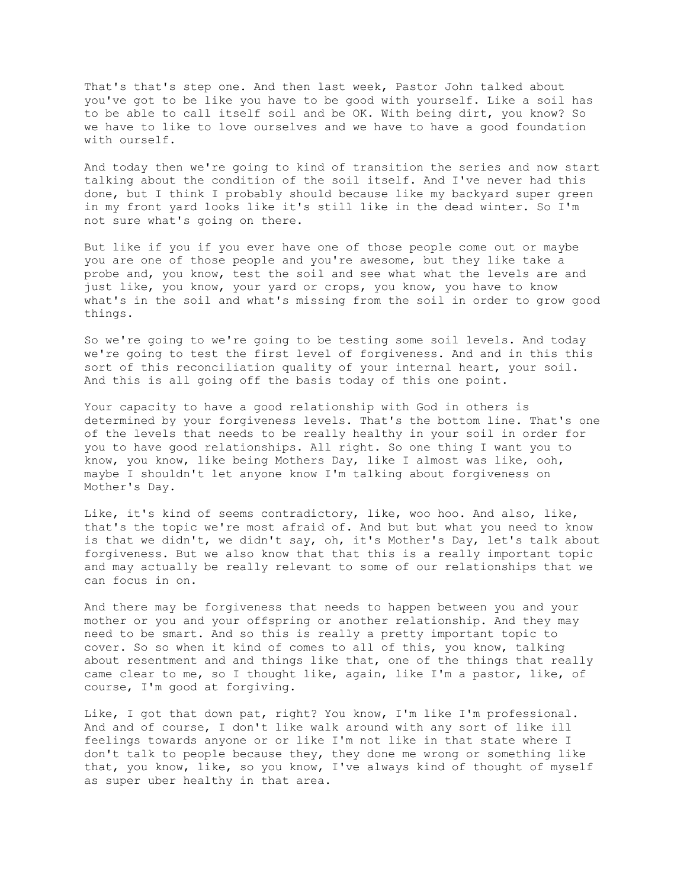That's that's step one. And then last week, Pastor John talked about you've got to be like you have to be good with yourself. Like a soil has to be able to call itself soil and be OK. With being dirt, you know? So we have to like to love ourselves and we have to have a good foundation with ourself.

And today then we're going to kind of transition the series and now start talking about the condition of the soil itself. And I've never had this done, but I think I probably should because like my backyard super green in my front yard looks like it's still like in the dead winter. So I'm not sure what's going on there.

But like if you if you ever have one of those people come out or maybe you are one of those people and you're awesome, but they like take a probe and, you know, test the soil and see what what the levels are and just like, you know, your yard or crops, you know, you have to know what's in the soil and what's missing from the soil in order to grow good things.

So we're going to we're going to be testing some soil levels. And today we're going to test the first level of forgiveness. And and in this this sort of this reconciliation quality of your internal heart, your soil. And this is all going off the basis today of this one point.

Your capacity to have a good relationship with God in others is determined by your forgiveness levels. That's the bottom line. That's one of the levels that needs to be really healthy in your soil in order for you to have good relationships. All right. So one thing I want you to know, you know, like being Mothers Day, like I almost was like, ooh, maybe I shouldn't let anyone know I'm talking about forgiveness on Mother's Day.

Like, it's kind of seems contradictory, like, woo hoo. And also, like, that's the topic we're most afraid of. And but but what you need to know is that we didn't, we didn't say, oh, it's Mother's Day, let's talk about forgiveness. But we also know that that this is a really important topic and may actually be really relevant to some of our relationships that we can focus in on.

And there may be forgiveness that needs to happen between you and your mother or you and your offspring or another relationship. And they may need to be smart. And so this is really a pretty important topic to cover. So so when it kind of comes to all of this, you know, talking about resentment and and things like that, one of the things that really came clear to me, so I thought like, again, like I'm a pastor, like, of course, I'm good at forgiving.

Like, I got that down pat, right? You know, I'm like I'm professional. And and of course, I don't like walk around with any sort of like ill feelings towards anyone or or like I'm not like in that state where I don't talk to people because they, they done me wrong or something like that, you know, like, so you know, I've always kind of thought of myself as super uber healthy in that area.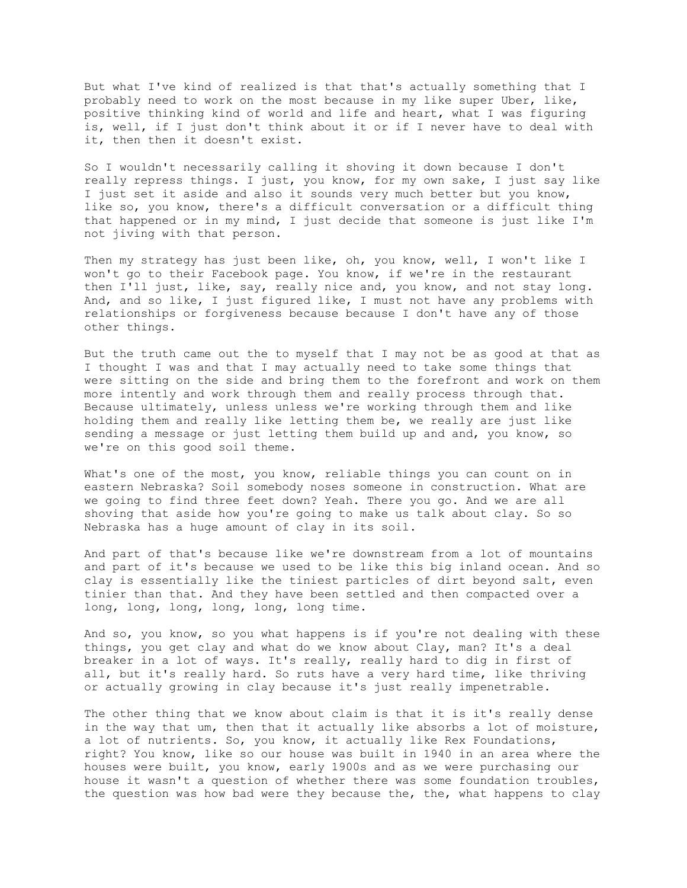But what I've kind of realized is that that's actually something that I probably need to work on the most because in my like super Uber, like, positive thinking kind of world and life and heart, what I was figuring is, well, if I just don't think about it or if I never have to deal with it, then then it doesn't exist.

So I wouldn't necessarily calling it shoving it down because I don't really repress things. I just, you know, for my own sake, I just say like I just set it aside and also it sounds very much better but you know, like so, you know, there's a difficult conversation or a difficult thing that happened or in my mind, I just decide that someone is just like I'm not jiving with that person.

Then my strategy has just been like, oh, you know, well, I won't like I won't go to their Facebook page. You know, if we're in the restaurant then I'll just, like, say, really nice and, you know, and not stay long. And, and so like, I just figured like, I must not have any problems with relationships or forgiveness because because I don't have any of those other things.

But the truth came out the to myself that I may not be as good at that as I thought I was and that I may actually need to take some things that were sitting on the side and bring them to the forefront and work on them more intently and work through them and really process through that. Because ultimately, unless unless we're working through them and like holding them and really like letting them be, we really are just like sending a message or just letting them build up and and, you know, so we're on this good soil theme.

What's one of the most, you know, reliable things you can count on in eastern Nebraska? Soil somebody noses someone in construction. What are we going to find three feet down? Yeah. There you go. And we are all shoving that aside how you're going to make us talk about clay. So so Nebraska has a huge amount of clay in its soil.

And part of that's because like we're downstream from a lot of mountains and part of it's because we used to be like this big inland ocean. And so clay is essentially like the tiniest particles of dirt beyond salt, even tinier than that. And they have been settled and then compacted over a long, long, long, long, long, long time.

And so, you know, so you what happens is if you're not dealing with these things, you get clay and what do we know about Clay, man? It's a deal breaker in a lot of ways. It's really, really hard to dig in first of all, but it's really hard. So ruts have a very hard time, like thriving or actually growing in clay because it's just really impenetrable.

The other thing that we know about claim is that it is it's really dense in the way that um, then that it actually like absorbs a lot of moisture, a lot of nutrients. So, you know, it actually like Rex Foundations, right? You know, like so our house was built in 1940 in an area where the houses were built, you know, early 1900s and as we were purchasing our house it wasn't a question of whether there was some foundation troubles, the question was how bad were they because the, the, what happens to clay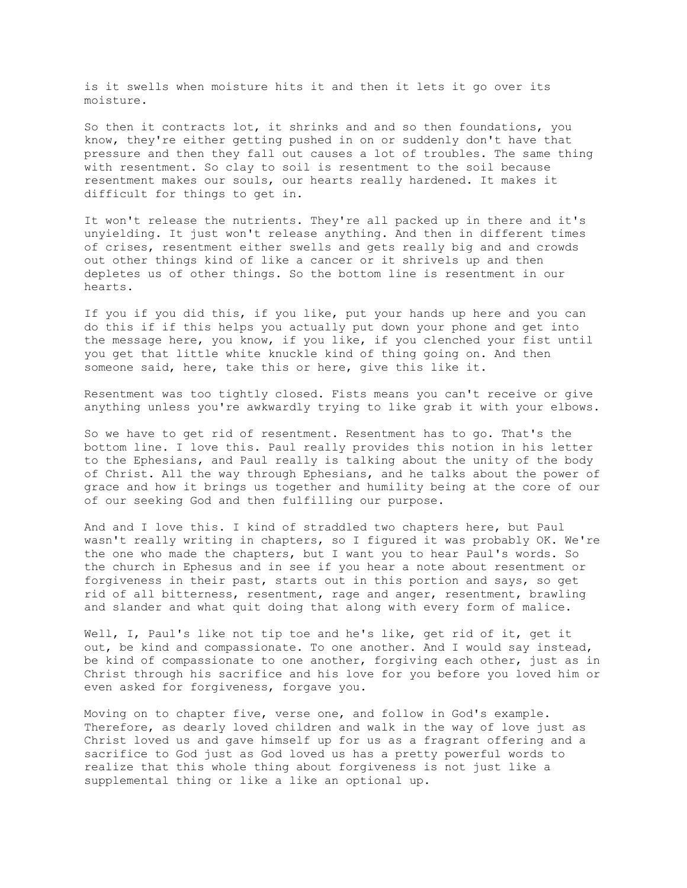is it swells when moisture hits it and then it lets it go over its moisture.

So then it contracts lot, it shrinks and and so then foundations, you know, they're either getting pushed in on or suddenly don't have that pressure and then they fall out causes a lot of troubles. The same thing with resentment. So clay to soil is resentment to the soil because resentment makes our souls, our hearts really hardened. It makes it difficult for things to get in.

It won't release the nutrients. They're all packed up in there and it's unyielding. It just won't release anything. And then in different times of crises, resentment either swells and gets really big and and crowds out other things kind of like a cancer or it shrivels up and then depletes us of other things. So the bottom line is resentment in our hearts.

If you if you did this, if you like, put your hands up here and you can do this if if this helps you actually put down your phone and get into the message here, you know, if you like, if you clenched your fist until you get that little white knuckle kind of thing going on. And then someone said, here, take this or here, give this like it.

Resentment was too tightly closed. Fists means you can't receive or give anything unless you're awkwardly trying to like grab it with your elbows.

So we have to get rid of resentment. Resentment has to go. That's the bottom line. I love this. Paul really provides this notion in his letter to the Ephesians, and Paul really is talking about the unity of the body of Christ. All the way through Ephesians, and he talks about the power of grace and how it brings us together and humility being at the core of our of our seeking God and then fulfilling our purpose.

And and I love this. I kind of straddled two chapters here, but Paul wasn't really writing in chapters, so I figured it was probably OK. We're the one who made the chapters, but I want you to hear Paul's words. So the church in Ephesus and in see if you hear a note about resentment or forgiveness in their past, starts out in this portion and says, so get rid of all bitterness, resentment, rage and anger, resentment, brawling and slander and what quit doing that along with every form of malice.

Well, I, Paul's like not tip toe and he's like, get rid of it, get it out, be kind and compassionate. To one another. And I would say instead, be kind of compassionate to one another, forgiving each other, just as in Christ through his sacrifice and his love for you before you loved him or even asked for forgiveness, forgave you.

Moving on to chapter five, verse one, and follow in God's example. Therefore, as dearly loved children and walk in the way of love just as Christ loved us and gave himself up for us as a fragrant offering and a sacrifice to God just as God loved us has a pretty powerful words to realize that this whole thing about forgiveness is not just like a supplemental thing or like a like an optional up.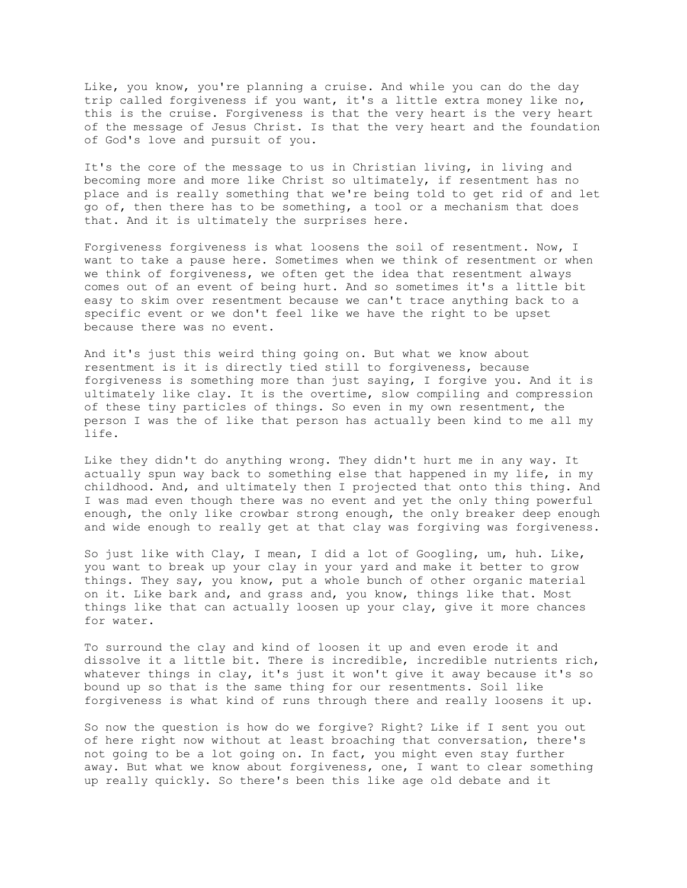Like, you know, you're planning a cruise. And while you can do the day trip called forgiveness if you want, it's a little extra money like no, this is the cruise. Forgiveness is that the very heart is the very heart of the message of Jesus Christ. Is that the very heart and the foundation of God's love and pursuit of you.

It's the core of the message to us in Christian living, in living and becoming more and more like Christ so ultimately, if resentment has no place and is really something that we're being told to get rid of and let go of, then there has to be something, a tool or a mechanism that does that. And it is ultimately the surprises here.

Forgiveness forgiveness is what loosens the soil of resentment. Now, I want to take a pause here. Sometimes when we think of resentment or when we think of forgiveness, we often get the idea that resentment always comes out of an event of being hurt. And so sometimes it's a little bit easy to skim over resentment because we can't trace anything back to a specific event or we don't feel like we have the right to be upset because there was no event.

And it's just this weird thing going on. But what we know about resentment is it is directly tied still to forgiveness, because forgiveness is something more than just saying, I forgive you. And it is ultimately like clay. It is the overtime, slow compiling and compression of these tiny particles of things. So even in my own resentment, the person I was the of like that person has actually been kind to me all my life.

Like they didn't do anything wrong. They didn't hurt me in any way. It actually spun way back to something else that happened in my life, in my childhood. And, and ultimately then I projected that onto this thing. And I was mad even though there was no event and yet the only thing powerful enough, the only like crowbar strong enough, the only breaker deep enough and wide enough to really get at that clay was forgiving was forgiveness.

So just like with Clay, I mean, I did a lot of Googling, um, huh. Like, you want to break up your clay in your yard and make it better to grow things. They say, you know, put a whole bunch of other organic material on it. Like bark and, and grass and, you know, things like that. Most things like that can actually loosen up your clay, give it more chances for water.

To surround the clay and kind of loosen it up and even erode it and dissolve it a little bit. There is incredible, incredible nutrients rich, whatever things in clay, it's just it won't give it away because it's so bound up so that is the same thing for our resentments. Soil like forgiveness is what kind of runs through there and really loosens it up.

So now the question is how do we forgive? Right? Like if I sent you out of here right now without at least broaching that conversation, there's not going to be a lot going on. In fact, you might even stay further away. But what we know about forgiveness, one, I want to clear something up really quickly. So there's been this like age old debate and it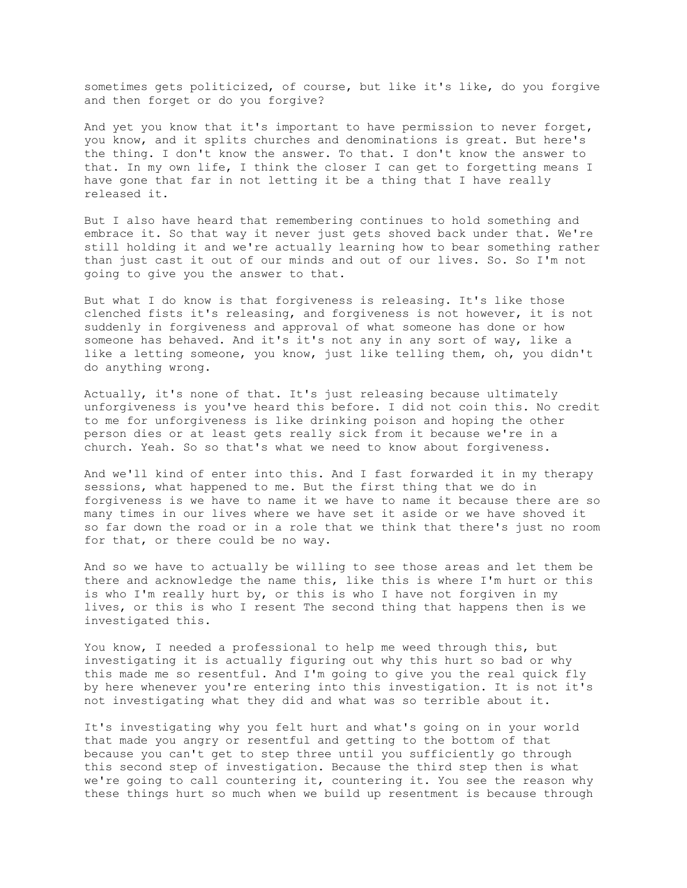sometimes gets politicized, of course, but like it's like, do you forgive and then forget or do you forgive?

And yet you know that it's important to have permission to never forget, you know, and it splits churches and denominations is great. But here's the thing. I don't know the answer. To that. I don't know the answer to that. In my own life, I think the closer I can get to forgetting means I have gone that far in not letting it be a thing that I have really released it.

But I also have heard that remembering continues to hold something and embrace it. So that way it never just gets shoved back under that. We're still holding it and we're actually learning how to bear something rather than just cast it out of our minds and out of our lives. So. So I'm not going to give you the answer to that.

But what I do know is that forgiveness is releasing. It's like those clenched fists it's releasing, and forgiveness is not however, it is not suddenly in forgiveness and approval of what someone has done or how someone has behaved. And it's it's not any in any sort of way, like a like a letting someone, you know, just like telling them, oh, you didn't do anything wrong.

Actually, it's none of that. It's just releasing because ultimately unforgiveness is you've heard this before. I did not coin this. No credit to me for unforgiveness is like drinking poison and hoping the other person dies or at least gets really sick from it because we're in a church. Yeah. So so that's what we need to know about forgiveness.

And we'll kind of enter into this. And I fast forwarded it in my therapy sessions, what happened to me. But the first thing that we do in forgiveness is we have to name it we have to name it because there are so many times in our lives where we have set it aside or we have shoved it so far down the road or in a role that we think that there's just no room for that, or there could be no way.

And so we have to actually be willing to see those areas and let them be there and acknowledge the name this, like this is where I'm hurt or this is who I'm really hurt by, or this is who I have not forgiven in my lives, or this is who I resent The second thing that happens then is we investigated this.

You know, I needed a professional to help me weed through this, but investigating it is actually figuring out why this hurt so bad or why this made me so resentful. And I'm going to give you the real quick fly by here whenever you're entering into this investigation. It is not it's not investigating what they did and what was so terrible about it.

It's investigating why you felt hurt and what's going on in your world that made you angry or resentful and getting to the bottom of that because you can't get to step three until you sufficiently go through this second step of investigation. Because the third step then is what we're going to call countering it, countering it. You see the reason why these things hurt so much when we build up resentment is because through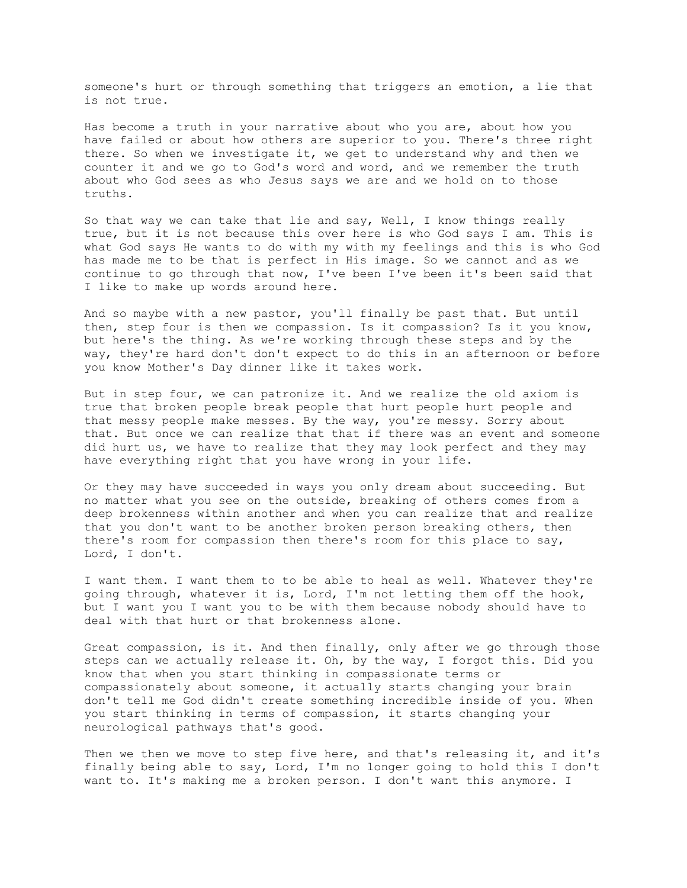someone's hurt or through something that triggers an emotion, a lie that is not true.

Has become a truth in your narrative about who you are, about how you have failed or about how others are superior to you. There's three right there. So when we investigate it, we get to understand why and then we counter it and we go to God's word and word, and we remember the truth about who God sees as who Jesus says we are and we hold on to those truths.

So that way we can take that lie and say, Well, I know things really true, but it is not because this over here is who God says I am. This is what God says He wants to do with my with my feelings and this is who God has made me to be that is perfect in His image. So we cannot and as we continue to go through that now, I've been I've been it's been said that I like to make up words around here.

And so maybe with a new pastor, you'll finally be past that. But until then, step four is then we compassion. Is it compassion? Is it you know, but here's the thing. As we're working through these steps and by the way, they're hard don't don't expect to do this in an afternoon or before you know Mother's Day dinner like it takes work.

But in step four, we can patronize it. And we realize the old axiom is true that broken people break people that hurt people hurt people and that messy people make messes. By the way, you're messy. Sorry about that. But once we can realize that that if there was an event and someone did hurt us, we have to realize that they may look perfect and they may have everything right that you have wrong in your life.

Or they may have succeeded in ways you only dream about succeeding. But no matter what you see on the outside, breaking of others comes from a deep brokenness within another and when you can realize that and realize that you don't want to be another broken person breaking others, then there's room for compassion then there's room for this place to say, Lord, I don't.

I want them. I want them to to be able to heal as well. Whatever they're going through, whatever it is, Lord, I'm not letting them off the hook, but I want you I want you to be with them because nobody should have to deal with that hurt or that brokenness alone.

Great compassion, is it. And then finally, only after we go through those steps can we actually release it. Oh, by the way, I forgot this. Did you know that when you start thinking in compassionate terms or compassionately about someone, it actually starts changing your brain don't tell me God didn't create something incredible inside of you. When you start thinking in terms of compassion, it starts changing your neurological pathways that's good.

Then we then we move to step five here, and that's releasing it, and it's finally being able to say, Lord, I'm no longer going to hold this I don't want to. It's making me a broken person. I don't want this anymore. I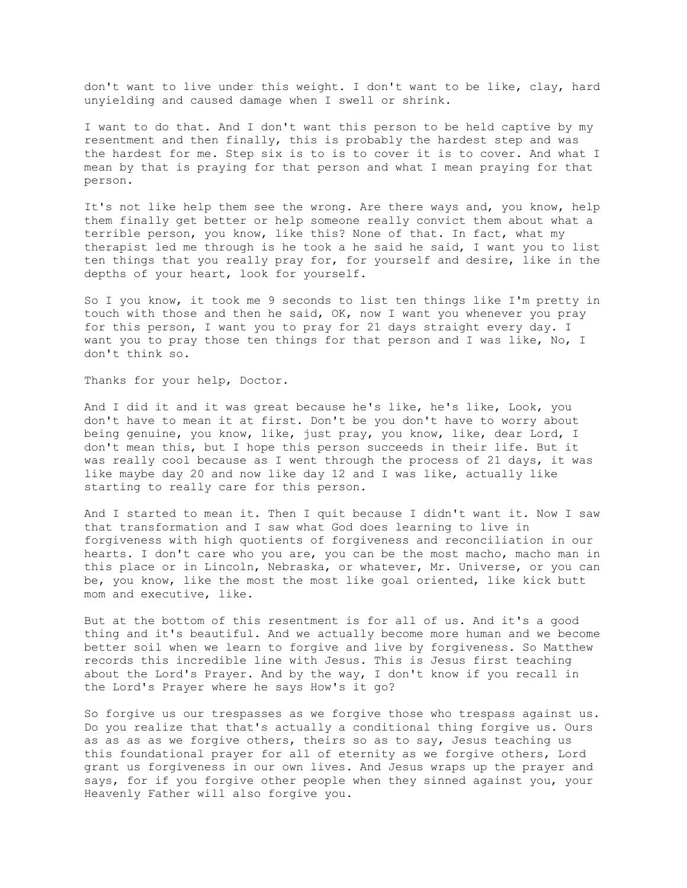don't want to live under this weight. I don't want to be like, clay, hard unyielding and caused damage when I swell or shrink.

I want to do that. And I don't want this person to be held captive by my resentment and then finally, this is probably the hardest step and was the hardest for me. Step six is to is to cover it is to cover. And what I mean by that is praying for that person and what I mean praying for that person.

It's not like help them see the wrong. Are there ways and, you know, help them finally get better or help someone really convict them about what a terrible person, you know, like this? None of that. In fact, what my therapist led me through is he took a he said he said, I want you to list ten things that you really pray for, for yourself and desire, like in the depths of your heart, look for yourself.

So I you know, it took me 9 seconds to list ten things like I'm pretty in touch with those and then he said, OK, now I want you whenever you pray for this person, I want you to pray for 21 days straight every day. I want you to pray those ten things for that person and I was like, No, I don't think so.

Thanks for your help, Doctor.

And I did it and it was great because he's like, he's like, Look, you don't have to mean it at first. Don't be you don't have to worry about being genuine, you know, like, just pray, you know, like, dear Lord, I don't mean this, but I hope this person succeeds in their life. But it was really cool because as I went through the process of 21 days, it was like maybe day 20 and now like day 12 and I was like, actually like starting to really care for this person.

And I started to mean it. Then I quit because I didn't want it. Now I saw that transformation and I saw what God does learning to live in forgiveness with high quotients of forgiveness and reconciliation in our hearts. I don't care who you are, you can be the most macho, macho man in this place or in Lincoln, Nebraska, or whatever, Mr. Universe, or you can be, you know, like the most the most like goal oriented, like kick butt mom and executive, like.

But at the bottom of this resentment is for all of us. And it's a good thing and it's beautiful. And we actually become more human and we become better soil when we learn to forgive and live by forgiveness. So Matthew records this incredible line with Jesus. This is Jesus first teaching about the Lord's Prayer. And by the way, I don't know if you recall in the Lord's Prayer where he says How's it go?

So forgive us our trespasses as we forgive those who trespass against us. Do you realize that that's actually a conditional thing forgive us. Ours as as as as we forgive others, theirs so as to say, Jesus teaching us this foundational prayer for all of eternity as we forgive others, Lord grant us forgiveness in our own lives. And Jesus wraps up the prayer and says, for if you forgive other people when they sinned against you, your Heavenly Father will also forgive you.